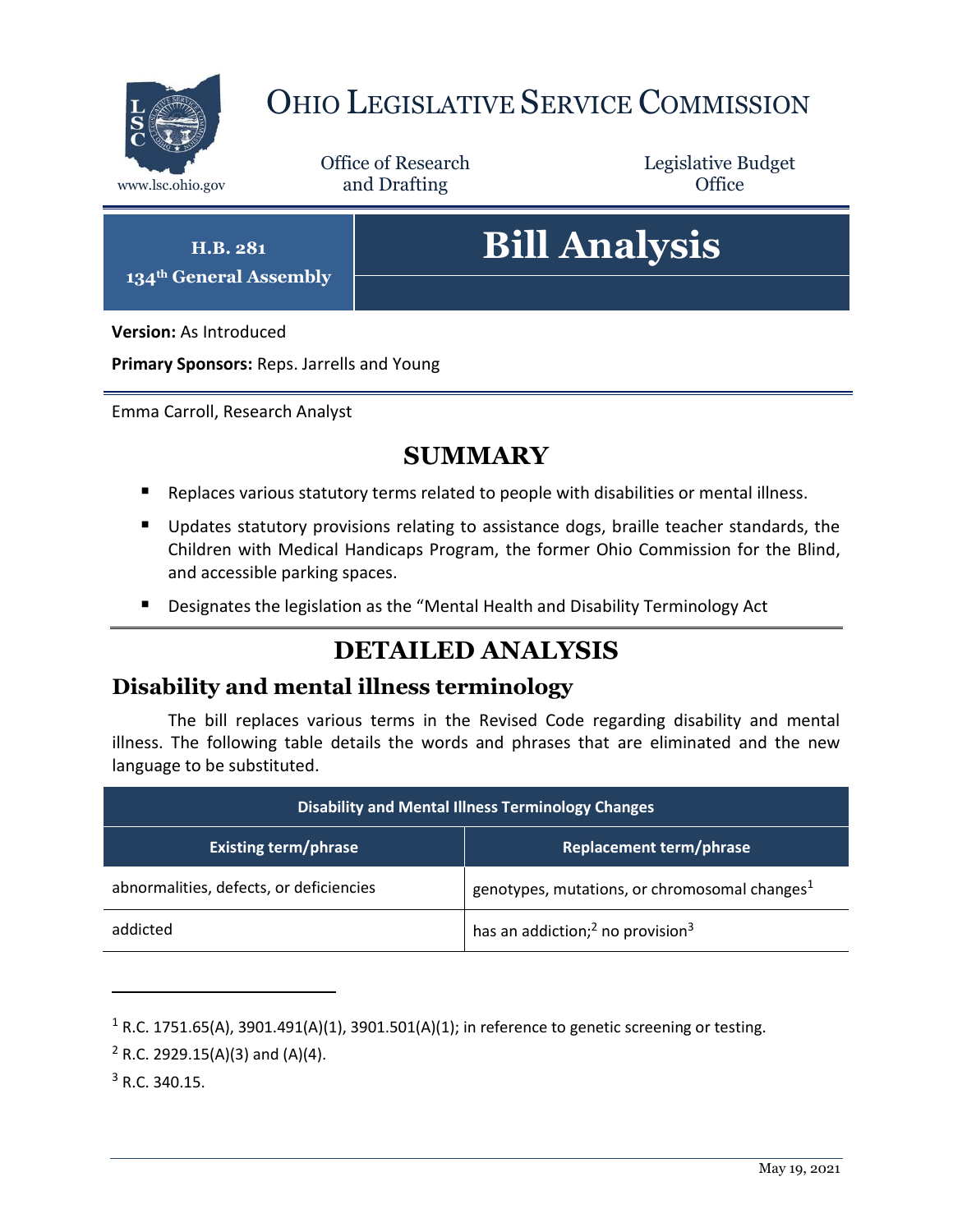

## OHIO LEGISLATIVE SERVICE COMMISSION

Office of Research www.lsc.ohio.gov **and Drafting Office** 

Legislative Budget

**H.B. 281**

**134th General Assembly**

# **Bill Analysis**

**Version:** As Introduced

**Primary Sponsors:** Reps. Jarrells and Young

Emma Carroll, Research Analyst

### **SUMMARY**

- Replaces various statutory terms related to people with disabilities or mental illness.
- Updates statutory provisions relating to assistance dogs, braille teacher standards, the Children with Medical Handicaps Program, the former Ohio Commission for the Blind, and accessible parking spaces.
- Designates the legislation as the "Mental Health and Disability Terminology Act

## **DETAILED ANALYSIS**

#### **Disability and mental illness terminology**

The bill replaces various terms in the Revised Code regarding disability and mental illness. The following table details the words and phrases that are eliminated and the new language to be substituted.

| <b>Disability and Mental Illness Terminology Changes</b> |                                                          |
|----------------------------------------------------------|----------------------------------------------------------|
| <b>Existing term/phrase</b>                              | <b>Replacement term/phrase</b>                           |
| abnormalities, defects, or deficiencies                  | genotypes, mutations, or chromosomal changes $1$         |
| addicted                                                 | has an addiction; <sup>2</sup> no provision <sup>3</sup> |

<sup>&</sup>lt;sup>1</sup> R.C. 1751.65(A), 3901.491(A)(1), 3901.501(A)(1); in reference to genetic screening or testing.

 $2$  R.C. 2929.15(A)(3) and (A)(4).

<sup>3</sup> R.C. 340.15.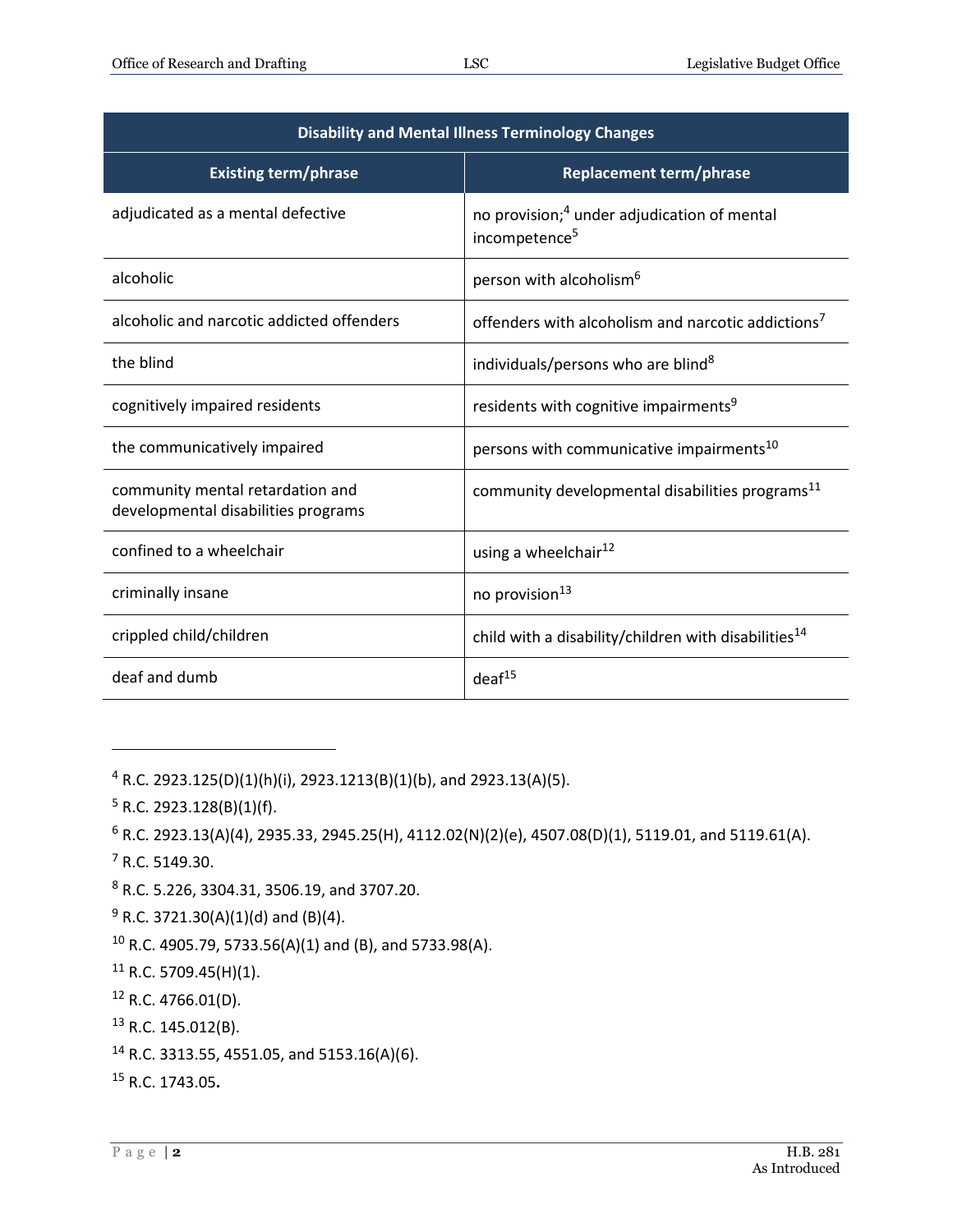| <b>Disability and Mental Illness Terminology Changes</b>                |                                                                                      |
|-------------------------------------------------------------------------|--------------------------------------------------------------------------------------|
| <b>Existing term/phrase</b>                                             | <b>Replacement term/phrase</b>                                                       |
| adjudicated as a mental defective                                       | no provision; <sup>4</sup> under adjudication of mental<br>incompetence <sup>5</sup> |
| alcoholic                                                               | person with alcoholism <sup>6</sup>                                                  |
| alcoholic and narcotic addicted offenders                               | offenders with alcoholism and narcotic addictions <sup>7</sup>                       |
| the blind                                                               | individuals/persons who are blind <sup>8</sup>                                       |
| cognitively impaired residents                                          | residents with cognitive impairments <sup>9</sup>                                    |
| the communicatively impaired                                            | persons with communicative impairments <sup>10</sup>                                 |
| community mental retardation and<br>developmental disabilities programs | community developmental disabilities programs <sup>11</sup>                          |
| confined to a wheelchair                                                | using a wheelchair <sup>12</sup>                                                     |
| criminally insane                                                       | no provision <sup>13</sup>                                                           |
| crippled child/children                                                 | child with a disability/children with disabilities <sup>14</sup>                     |
| deaf and dumb                                                           | deaf <sup>15</sup>                                                                   |

 $4$  R.C. 2923.125(D)(1)(h)(i), 2923.1213(B)(1)(b), and 2923.13(A)(5).

- $5 R.C. 2923.128(B)(1)(f).$
- $6$  R.C. 2923.13(A)(4), 2935.33, 2945.25(H), 4112.02(N)(2)(e), 4507.08(D)(1), 5119.01, and 5119.61(A).
- <sup>7</sup> R.C. 5149.30.

- <sup>8</sup> R.C. 5.226, 3304.31, 3506.19, and 3707.20.
- $9$  R.C. 3721.30(A)(1)(d) and (B)(4).
- <sup>10</sup> R.C. 4905.79, 5733.56(A)(1) and (B), and 5733.98(A).
- <sup>11</sup> R.C. 5709.45(H)(1).
- $12$  R.C. 4766.01(D).
- $13$  R.C. 145.012(B).
- <sup>14</sup> R.C. 3313.55, 4551.05, and 5153.16(A)(6).
- <sup>15</sup> R.C. 1743.05**.**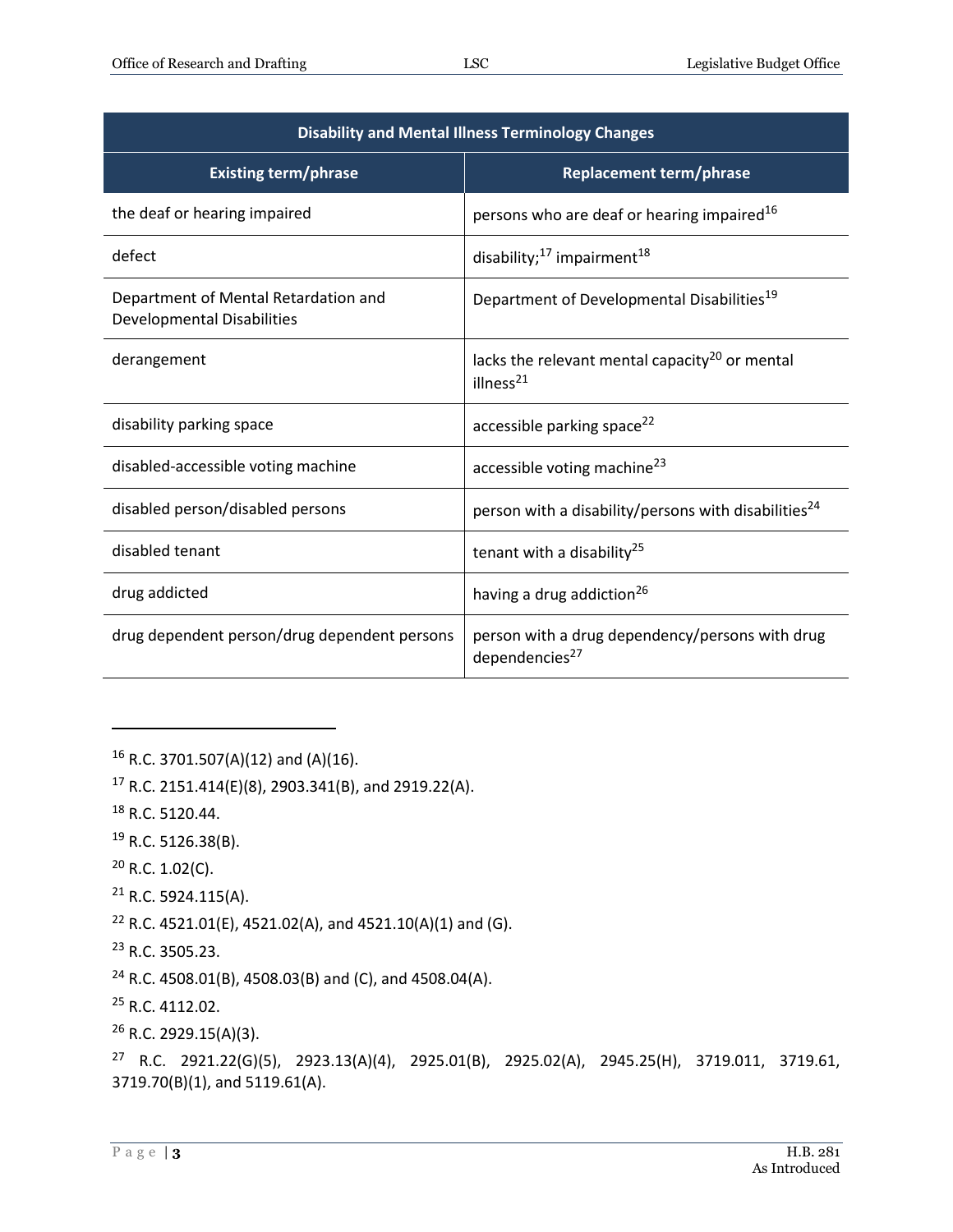| <b>Disability and Mental Illness Terminology Changes</b>                  |                                                                               |
|---------------------------------------------------------------------------|-------------------------------------------------------------------------------|
| <b>Existing term/phrase</b>                                               | <b>Replacement term/phrase</b>                                                |
| the deaf or hearing impaired                                              | persons who are deaf or hearing impaired <sup>16</sup>                        |
| defect                                                                    | disability; <sup>17</sup> impairment <sup>18</sup>                            |
| Department of Mental Retardation and<br><b>Developmental Disabilities</b> | Department of Developmental Disabilities <sup>19</sup>                        |
| derangement                                                               | lacks the relevant mental capacity <sup>20</sup> or mental<br>illness $^{21}$ |
| disability parking space                                                  | accessible parking space <sup>22</sup>                                        |
| disabled-accessible voting machine                                        | accessible voting machine <sup>23</sup>                                       |
| disabled person/disabled persons                                          | person with a disability/persons with disabilities <sup>24</sup>              |
| disabled tenant                                                           | tenant with a disability <sup>25</sup>                                        |
| drug addicted                                                             | having a drug addiction <sup>26</sup>                                         |
| drug dependent person/drug dependent persons                              | person with a drug dependency/persons with drug<br>dependencies <sup>27</sup> |

 $16$  R.C. 3701.507(A)(12) and (A)(16).

<sup>17</sup> R.C. 2151.414(E)(8), 2903.341(B), and 2919.22(A).

<sup>18</sup> R.C. 5120.44.

 $\overline{a}$ 

<sup>19</sup> R.C. 5126.38(B).

 $20$  R.C. 1.02(C).

<sup>21</sup> R.C. 5924.115(A).

<sup>22</sup> R.C. 4521.01(E), 4521.02(A), and 4521.10(A)(1) and (G).

<sup>23</sup> R.C. 3505.23.

<sup>24</sup> R.C. 4508.01(B), 4508.03(B) and (C), and 4508.04(A).

<sup>25</sup> R.C. 4112.02.

<sup>26</sup> R.C. 2929.15(A)(3).

<sup>27</sup> R.C. 2921.22(G)(5), 2923.13(A)(4), 2925.01(B), 2925.02(A), 2945.25(H), 3719.011, 3719.61, 3719.70(B)(1), and 5119.61(A).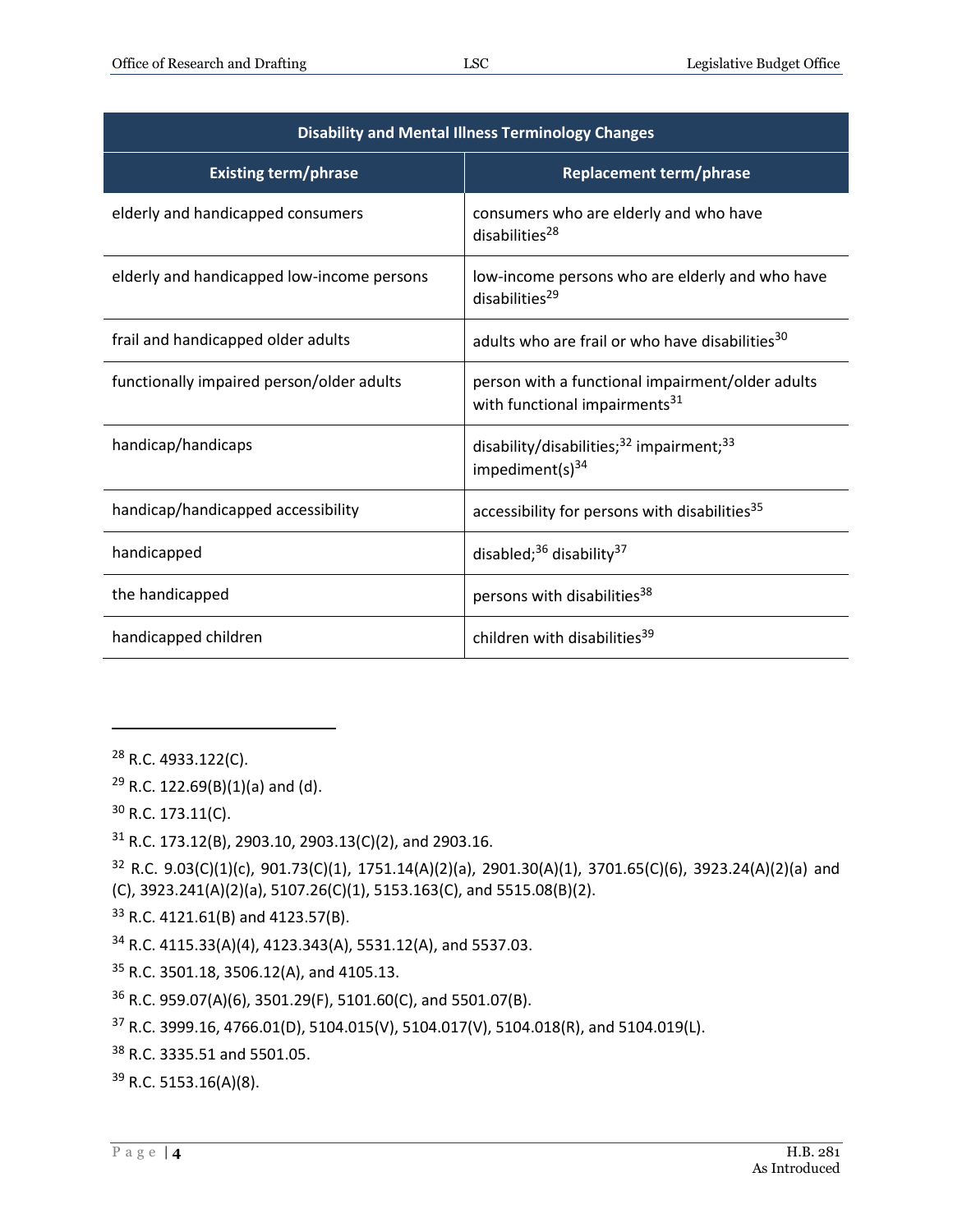| <b>Disability and Mental Illness Terminology Changes</b> |                                                                                               |
|----------------------------------------------------------|-----------------------------------------------------------------------------------------------|
| <b>Existing term/phrase</b>                              | <b>Replacement term/phrase</b>                                                                |
| elderly and handicapped consumers                        | consumers who are elderly and who have<br>disabilities $^{28}$                                |
| elderly and handicapped low-income persons               | low-income persons who are elderly and who have<br>disabilities <sup>29</sup>                 |
| frail and handicapped older adults                       | adults who are frail or who have disabilities <sup>30</sup>                                   |
| functionally impaired person/older adults                | person with a functional impairment/older adults<br>with functional impairments <sup>31</sup> |
| handicap/handicaps                                       | disability/disabilities; <sup>32</sup> impairment; <sup>33</sup><br>impediment(s) $34$        |
| handicap/handicapped accessibility                       | accessibility for persons with disabilities <sup>35</sup>                                     |
| handicapped                                              | disabled; $36$ disability $37$                                                                |
| the handicapped                                          | persons with disabilities <sup>38</sup>                                                       |
| handicapped children                                     | children with disabilities <sup>39</sup>                                                      |

<sup>28</sup> R.C. 4933.122(C).

 $\overline{a}$ 

 $29$  R.C. 122.69(B)(1)(a) and (d).

<sup>30</sup> R.C. 173.11(C).

<sup>31</sup> R.C. 173.12(B), 2903.10, 2903.13(C)(2), and 2903.16.

<sup>32</sup> R.C. 9.03(C)(1)(c), 901.73(C)(1), 1751.14(A)(2)(a), 2901.30(A)(1), 3701.65(C)(6), 3923.24(A)(2)(a) and (C), 3923.241(A)(2)(a), 5107.26(C)(1), 5153.163(C), and 5515.08(B)(2).

<sup>33</sup> R.C. 4121.61(B) and 4123.57(B).

<sup>34</sup> R.C. 4115.33(A)(4), 4123.343(A), 5531.12(A), and 5537.03.

<sup>35</sup> R.C. 3501.18, 3506.12(A), and 4105.13.

<sup>36</sup> R.C. 959.07(A)(6), 3501.29(F), 5101.60(C), and 5501.07(B).

<sup>37</sup> R.C. 3999.16, 4766.01(D), 5104.015(V), 5104.017(V), 5104.018(R), and 5104.019(L).

<sup>38</sup> R.C. 3335.51 and 5501.05.

<sup>39</sup> R.C. 5153.16(A)(8).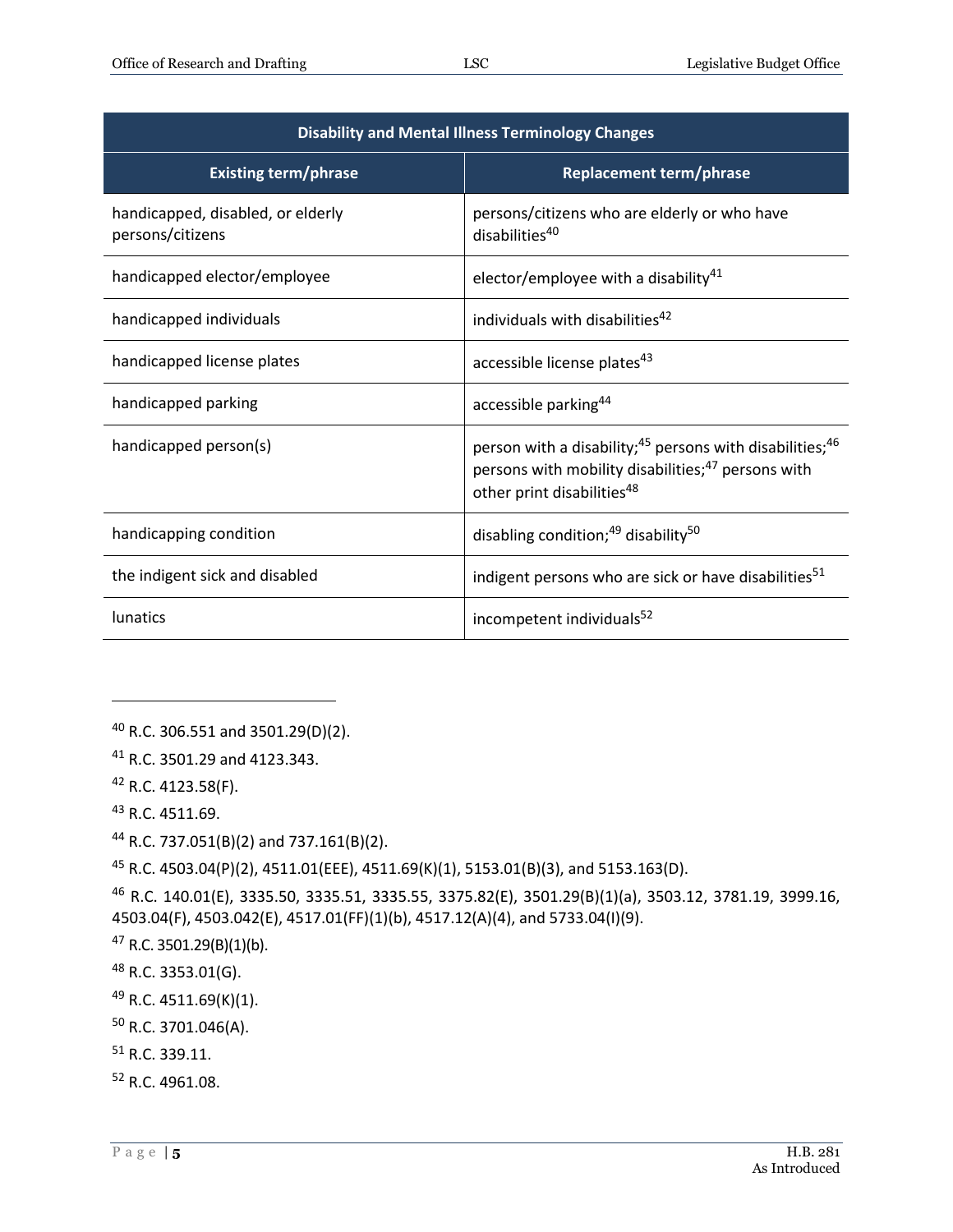| <b>Disability and Mental Illness Terminology Changes</b> |                                                                                                                                                                                              |
|----------------------------------------------------------|----------------------------------------------------------------------------------------------------------------------------------------------------------------------------------------------|
| <b>Existing term/phrase</b>                              | <b>Replacement term/phrase</b>                                                                                                                                                               |
| handicapped, disabled, or elderly<br>persons/citizens    | persons/citizens who are elderly or who have<br>disabilities <sup>40</sup>                                                                                                                   |
| handicapped elector/employee                             | elector/employee with a disability $41$                                                                                                                                                      |
| handicapped individuals                                  | individuals with disabilities <sup>42</sup>                                                                                                                                                  |
| handicapped license plates                               | accessible license plates <sup>43</sup>                                                                                                                                                      |
| handicapped parking                                      | accessible parking <sup>44</sup>                                                                                                                                                             |
| handicapped person(s)                                    | person with a disability; <sup>45</sup> persons with disabilities; <sup>46</sup><br>persons with mobility disabilities; <sup>47</sup> persons with<br>other print disabilities <sup>48</sup> |
| handicapping condition                                   | disabling condition; <sup>49</sup> disability <sup>50</sup>                                                                                                                                  |
| the indigent sick and disabled                           | indigent persons who are sick or have disabilities <sup>51</sup>                                                                                                                             |
| lunatics                                                 | incompetent individuals <sup>52</sup>                                                                                                                                                        |

 $\overline{a}$ 

<sup>45</sup> R.C. 4503.04(P)(2), 4511.01(EEE), 4511.69(K)(1), 5153.01(B)(3), and 5153.163(D).

<sup>46</sup> R.C. 140.01(E), 3335.50, 3335.51, 3335.55, 3375.82(E), 3501.29(B)(1)(a), 3503.12, 3781.19, 3999.16, 4503.04(F), 4503.042(E), 4517.01(FF)(1)(b), 4517.12(A)(4), and 5733.04(I)(9).

- <sup>47</sup> R.C. 3501.29(B)(1)(b).
- <sup>48</sup> R.C. 3353.01(G).
- <sup>49</sup> R.C. 4511.69(K)(1).
- <sup>50</sup> R.C. 3701.046(A).
- <sup>51</sup> R.C. 339.11.
- <sup>52</sup> R.C. 4961.08.

<sup>40</sup> R.C. 306.551 and 3501.29(D)(2).

<sup>41</sup> R.C. 3501.29 and 4123.343.

 $42$  R.C. 4123.58(F).

<sup>43</sup> R.C. 4511.69.

<sup>44</sup> R.C. 737.051(B)(2) and 737.161(B)(2).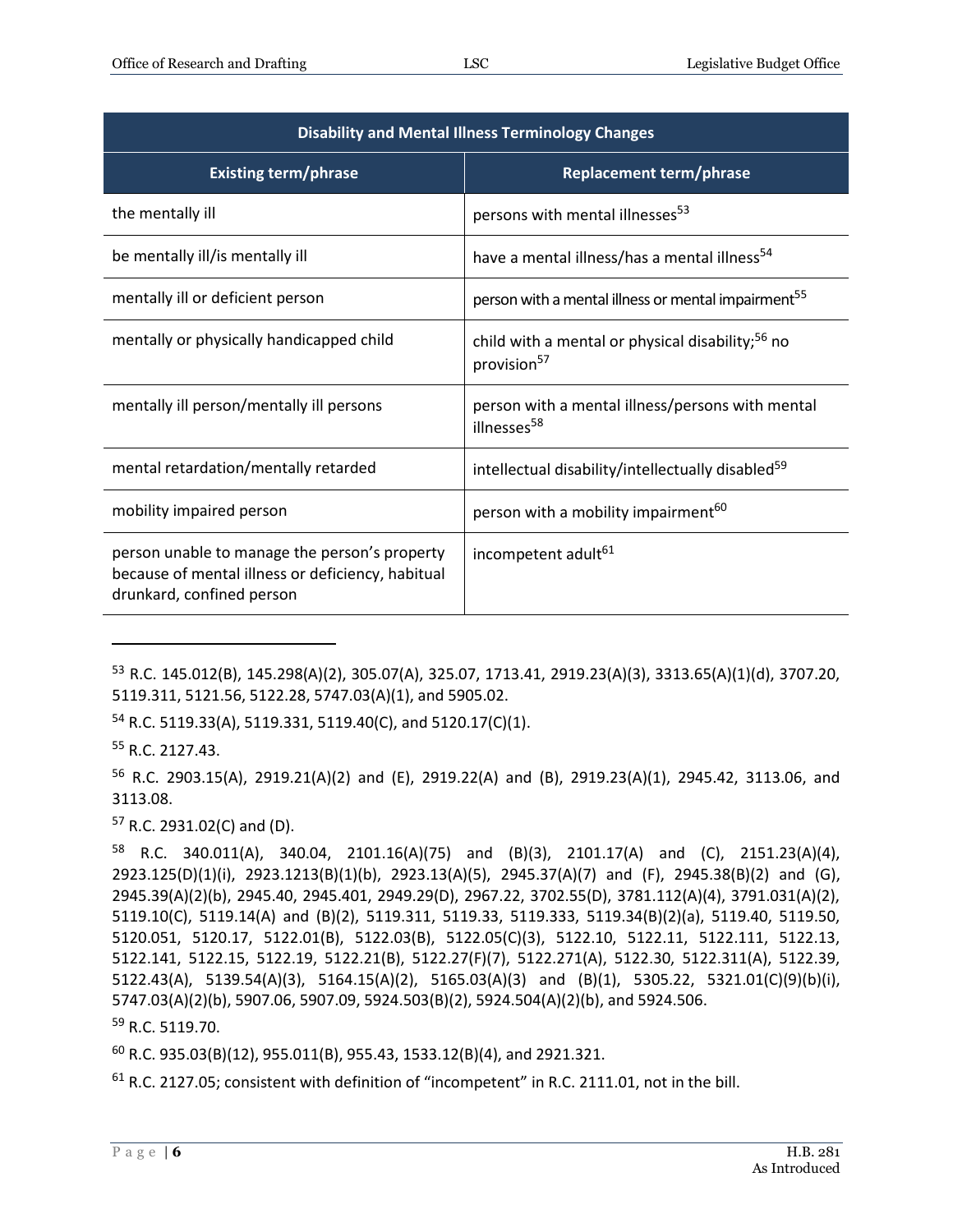| <b>Disability and Mental Illness Terminology Changes</b>                                                                        |                                                                                         |
|---------------------------------------------------------------------------------------------------------------------------------|-----------------------------------------------------------------------------------------|
| <b>Existing term/phrase</b>                                                                                                     | <b>Replacement term/phrase</b>                                                          |
| the mentally ill                                                                                                                | persons with mental illnesses <sup>53</sup>                                             |
| be mentally ill/is mentally ill                                                                                                 | have a mental illness/has a mental illness <sup>54</sup>                                |
| mentally ill or deficient person                                                                                                | person with a mental illness or mental impairment <sup>55</sup>                         |
| mentally or physically handicapped child                                                                                        | child with a mental or physical disability; <sup>56</sup> no<br>provision <sup>57</sup> |
| mentally ill person/mentally ill persons                                                                                        | person with a mental illness/persons with mental<br>illnesses <sup>58</sup>             |
| mental retardation/mentally retarded                                                                                            | intellectual disability/intellectually disabled <sup>59</sup>                           |
| mobility impaired person                                                                                                        | person with a mobility impairment <sup>60</sup>                                         |
| person unable to manage the person's property<br>because of mental illness or deficiency, habitual<br>drunkard, confined person | incompetent adult <sup>61</sup>                                                         |

<sup>53</sup> R.C. 145.012(B), 145.298(A)(2), 305.07(A), 325.07, 1713.41, 2919.23(A)(3), 3313.65(A)(1)(d), 3707.20, 5119.311, 5121.56, 5122.28, 5747.03(A)(1), and 5905.02.

<sup>54</sup> R.C. 5119.33(A), 5119.331, 5119.40(C), and 5120.17(C)(1).

<sup>55</sup> R.C. 2127.43.

 $\overline{a}$ 

<sup>56</sup> R.C. 2903.15(A), 2919.21(A)(2) and (E), 2919.22(A) and (B), 2919.23(A)(1), 2945.42, 3113.06, and 3113.08.

<sup>57</sup> R.C. 2931.02(C) and (D).

58 R.C. 340.011(A), 340.04, 2101.16(A)(75) and (B)(3), 2101.17(A) and (C), 2151.23(A)(4), 2923.125(D)(1)(i), 2923.1213(B)(1)(b), 2923.13(A)(5), 2945.37(A)(7) and (F), 2945.38(B)(2) and (G), 2945.39(A)(2)(b), 2945.40, 2945.401, 2949.29(D), 2967.22, 3702.55(D), 3781.112(A)(4), 3791.031(A)(2), 5119.10(C), 5119.14(A) and (B)(2), 5119.311, 5119.33, 5119.333, 5119.34(B)(2)(a), 5119.40, 5119.50, 5120.051, 5120.17, 5122.01(B), 5122.03(B), 5122.05(C)(3), 5122.10, 5122.11, 5122.111, 5122.13, 5122.141, 5122.15, 5122.19, 5122.21(B), 5122.27(F)(7), 5122.271(A), 5122.30, 5122.311(A), 5122.39, 5122.43(A), 5139.54(A)(3), 5164.15(A)(2), 5165.03(A)(3) and (B)(1), 5305.22, 5321.01(C)(9)(b)(i), 5747.03(A)(2)(b), 5907.06, 5907.09, 5924.503(B)(2), 5924.504(A)(2)(b), and 5924.506.

<sup>59</sup> R.C. 5119.70.

 $^{60}$  R.C. 935.03(B)(12), 955.011(B), 955.43, 1533.12(B)(4), and 2921.321.

 $61$  R.C. 2127.05; consistent with definition of "incompetent" in R.C. 2111.01, not in the bill.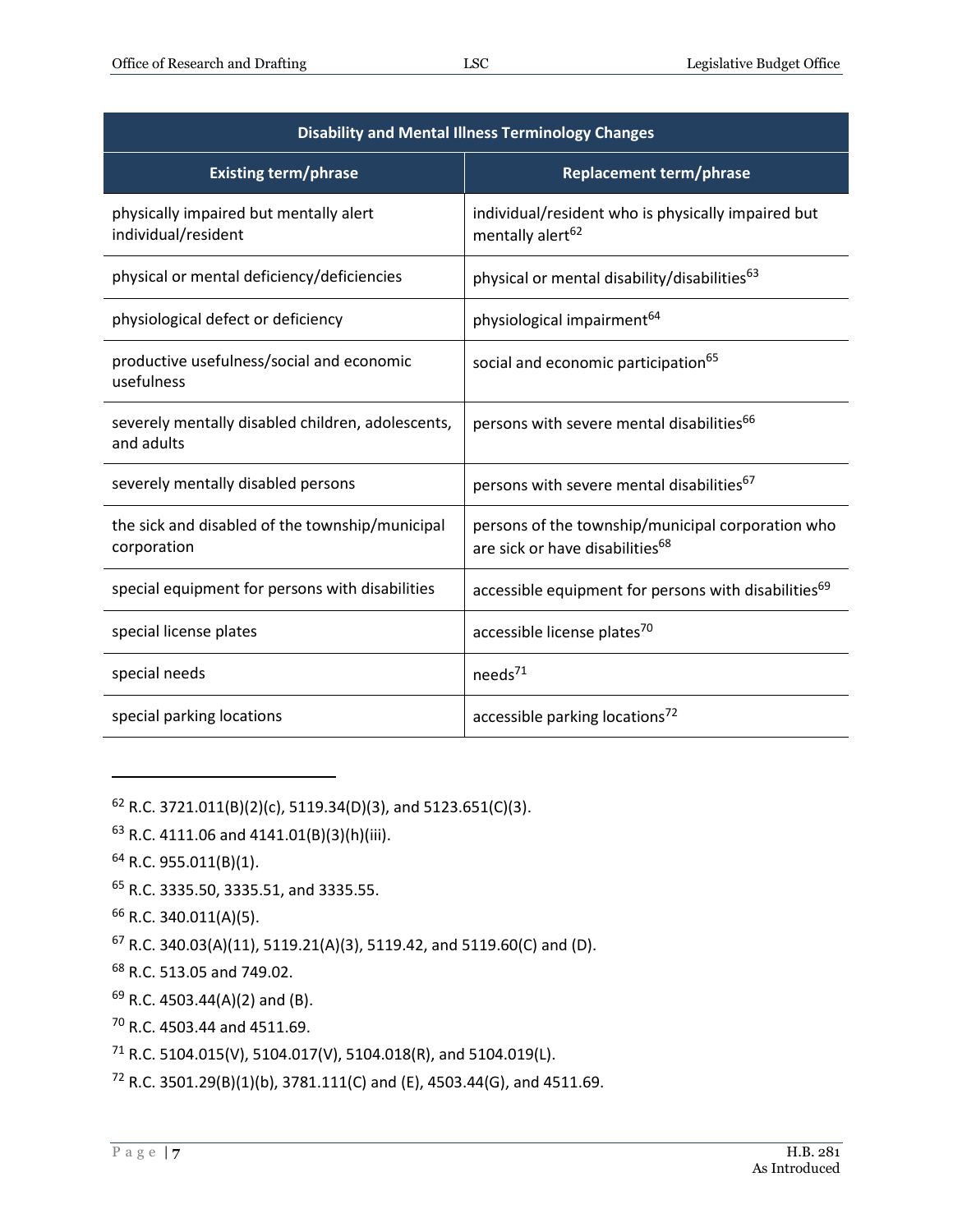| <b>Disability and Mental Illness Terminology Changes</b>        |                                                                                                  |
|-----------------------------------------------------------------|--------------------------------------------------------------------------------------------------|
| <b>Existing term/phrase</b>                                     | <b>Replacement term/phrase</b>                                                                   |
| physically impaired but mentally alert<br>individual/resident   | individual/resident who is physically impaired but<br>mentally alert <sup>62</sup>               |
| physical or mental deficiency/deficiencies                      | physical or mental disability/disabilities <sup>63</sup>                                         |
| physiological defect or deficiency                              | physiological impairment <sup>64</sup>                                                           |
| productive usefulness/social and economic<br>usefulness         | social and economic participation <sup>65</sup>                                                  |
| severely mentally disabled children, adolescents,<br>and adults | persons with severe mental disabilities <sup>66</sup>                                            |
| severely mentally disabled persons                              | persons with severe mental disabilities <sup>67</sup>                                            |
| the sick and disabled of the township/municipal<br>corporation  | persons of the township/municipal corporation who<br>are sick or have disabilities <sup>68</sup> |
| special equipment for persons with disabilities                 | accessible equipment for persons with disabilities <sup>69</sup>                                 |
| special license plates                                          | accessible license plates <sup>70</sup>                                                          |
| special needs                                                   | needs <sup>71</sup>                                                                              |
| special parking locations                                       | accessible parking locations <sup>72</sup>                                                       |

 $62$  R.C. 3721.011(B)(2)(c), 5119.34(D)(3), and 5123.651(C)(3).

 $63$  R.C. 4111.06 and 4141.01(B)(3)(h)(iii).

<sup>64</sup> R.C. 955.011(B)(1).

 $\overline{a}$ 

<sup>65</sup> R.C. 3335.50, 3335.51, and 3335.55.

<sup>66</sup> R.C. 340.011(A)(5).

<sup>67</sup> R.C. 340.03(A)(11), 5119.21(A)(3), 5119.42, and 5119.60(C) and (D).

<sup>68</sup> R.C. 513.05 and 749.02.

 $69$  R.C. 4503.44(A)(2) and (B).

<sup>70</sup> R.C. 4503.44 and 4511.69.

<sup>71</sup> R.C. 5104.015(V), 5104.017(V), 5104.018(R), and 5104.019(L).

 $72$  R.C. 3501.29(B)(1)(b), 3781.111(C) and (E), 4503.44(G), and 4511.69.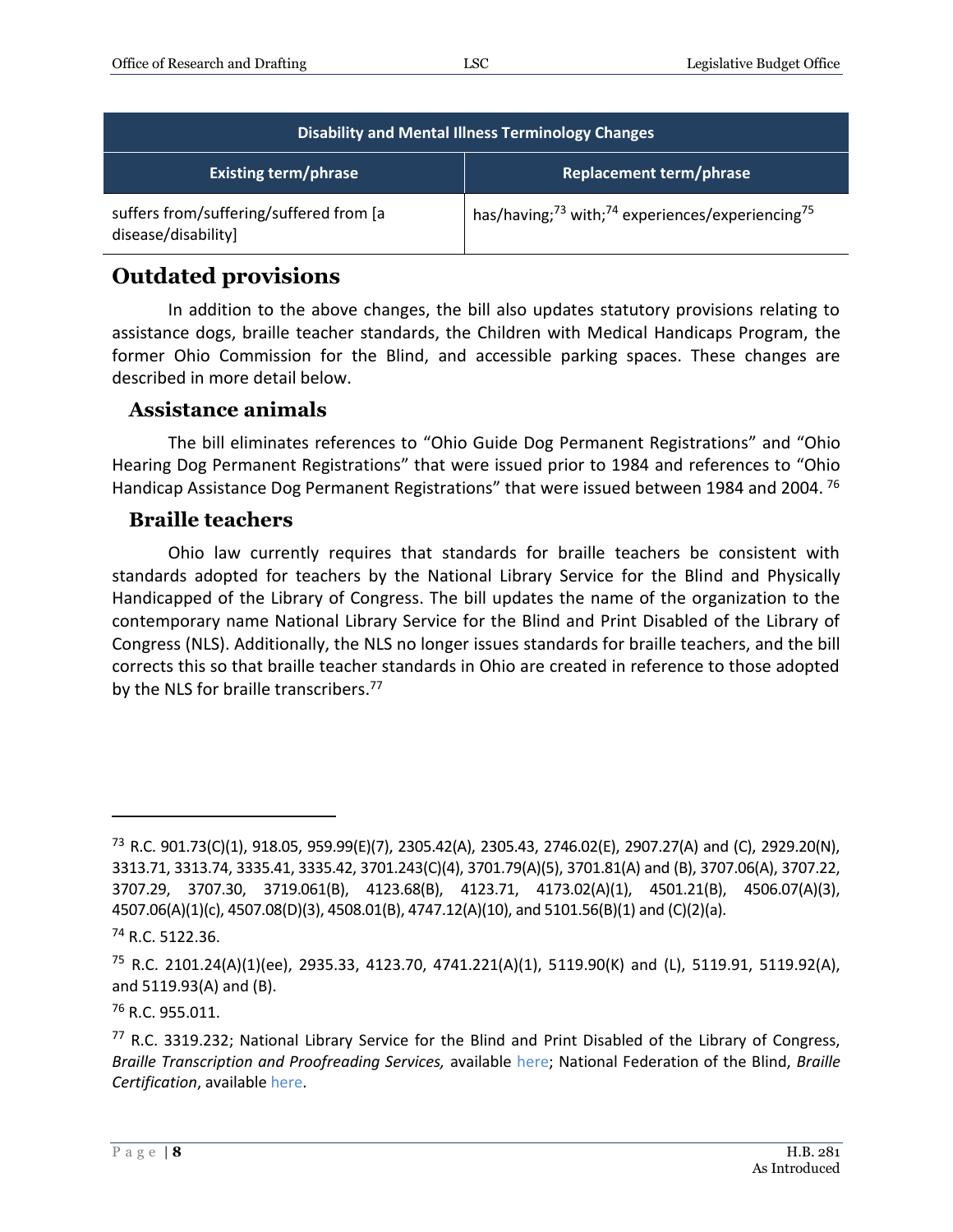| <b>Disability and Mental Illness Terminology Changes</b>        |                                                                                      |
|-----------------------------------------------------------------|--------------------------------------------------------------------------------------|
| <b>Existing term/phrase</b>                                     | <b>Replacement term/phrase</b>                                                       |
| suffers from/suffering/suffered from [a]<br>disease/disability] | has/having; <sup>73</sup> with; <sup>74</sup> experiences/experiencing <sup>75</sup> |

#### **Outdated provisions**

In addition to the above changes, the bill also updates statutory provisions relating to assistance dogs, braille teacher standards, the Children with Medical Handicaps Program, the former Ohio Commission for the Blind, and accessible parking spaces. These changes are described in more detail below.

#### **Assistance animals**

The bill eliminates references to "Ohio Guide Dog Permanent Registrations" and "Ohio Hearing Dog Permanent Registrations" that were issued prior to 1984 and references to "Ohio Handicap Assistance Dog Permanent Registrations" that were issued between 1984 and 2004.<sup>76</sup>

#### **Braille teachers**

Ohio law currently requires that standards for braille teachers be consistent with standards adopted for teachers by the National Library Service for the Blind and Physically Handicapped of the Library of Congress. The bill updates the name of the organization to the contemporary name National Library Service for the Blind and Print Disabled of the Library of Congress (NLS). Additionally, the NLS no longer issues standards for braille teachers, and the bill corrects this so that braille teacher standards in Ohio are created in reference to those adopted by the NLS for braille transcribers.<sup>77</sup>

<sup>73</sup> R.C. 901.73(C)(1), 918.05, 959.99(E)(7), 2305.42(A), 2305.43, 2746.02(E), 2907.27(A) and (C), 2929.20(N), 3313.71, 3313.74, 3335.41, 3335.42, 3701.243(C)(4), 3701.79(A)(5), 3701.81(A) and (B), 3707.06(A), 3707.22, 3707.29, 3707.30, 3719.061(B), 4123.68(B), 4123.71, 4173.02(A)(1), 4501.21(B), 4506.07(A)(3), 4507.06(A)(1)(c), 4507.08(D)(3), 4508.01(B), 4747.12(A)(10), and 5101.56(B)(1) and (C)(2)(a).

 $74$  R.C. 5122.36.

<sup>&</sup>lt;sup>75</sup> R.C. 2101.24(A)(1)(ee), 2935.33, 4123.70, 4741.221(A)(1), 5119.90(K) and (L), 5119.91, 5119.92(A), and 5119.93(A) and (B).

<sup>76</sup> R.C. 955.011.

 $77$  R.C. 3319.232; National Library Service for the Blind and Print Disabled of the Library of Congress, *Braille Transcription and Proofreading Services,* available [here;](https://www.loc.gov/nls/about/services/braille-transcription-proofreading-courses/) National Federation of the Blind, *Braille Certification*, available [here.](https://www.nfb.org/programs-services/braille-certification)